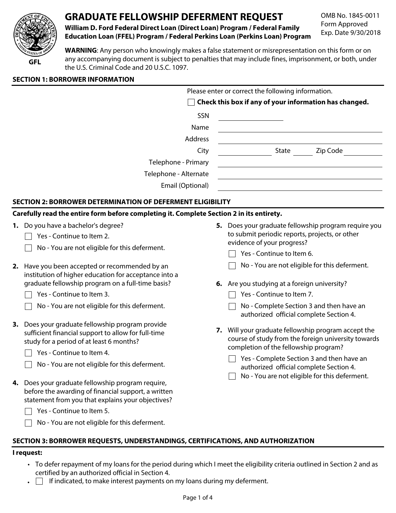

# **GRADUATE FELLOWSHIP DEFERMENT REQUEST**

**William D. Ford Federal Direct Loan (Direct Loan) Program / Federal Family Education Loan (FFEL) Program / Federal Perkins Loan (Perkins Loan) Program** OMB No. 1845-0011 Form Approved Exp. Date 9/30/2018

**WARNING**: Any person who knowingly makes a false statement or misrepresentation on this form or on any accompanying document is subject to penalties that may include fines, imprisonment, or both, under the U.S. Criminal Code and 20 U.S.C. 1097.

|    |                                                                                                                                                                                        |  | Please enter or correct the following information.                                                                                               |
|----|----------------------------------------------------------------------------------------------------------------------------------------------------------------------------------------|--|--------------------------------------------------------------------------------------------------------------------------------------------------|
|    |                                                                                                                                                                                        |  | Check this box if any of your information has changed.                                                                                           |
|    | SSN                                                                                                                                                                                    |  |                                                                                                                                                  |
|    | Name                                                                                                                                                                                   |  |                                                                                                                                                  |
|    | Address                                                                                                                                                                                |  |                                                                                                                                                  |
|    | City                                                                                                                                                                                   |  | <b>State</b><br>Zip Code                                                                                                                         |
|    | Telephone - Primary                                                                                                                                                                    |  |                                                                                                                                                  |
|    | Telephone - Alternate                                                                                                                                                                  |  |                                                                                                                                                  |
|    | Email (Optional)                                                                                                                                                                       |  |                                                                                                                                                  |
|    | SECTION 2: BORROWER DETERMINATION OF DEFERMENT ELIGIBILITY                                                                                                                             |  |                                                                                                                                                  |
|    | Carefully read the entire form before completing it. Complete Section 2 in its entirety.                                                                                               |  |                                                                                                                                                  |
|    | 1. Do you have a bachelor's degree?                                                                                                                                                    |  | 5. Does your graduate fellowship program require you                                                                                             |
|    | Yes - Continue to Item 2.                                                                                                                                                              |  | to submit periodic reports, projects, or other                                                                                                   |
|    | No - You are not eligible for this deferment.                                                                                                                                          |  | evidence of your progress?                                                                                                                       |
|    |                                                                                                                                                                                        |  | Yes - Continue to Item 6.                                                                                                                        |
| 2. | Have you been accepted or recommended by an                                                                                                                                            |  | No - You are not eligible for this deferment.                                                                                                    |
|    | institution of higher education for acceptance into a<br>graduate fellowship program on a full-time basis?                                                                             |  | 6. Are you studying at a foreign university?                                                                                                     |
|    | Yes - Continue to Item 3.                                                                                                                                                              |  | Yes - Continue to Item 7.                                                                                                                        |
|    | No - You are not eligible for this deferment.                                                                                                                                          |  | No - Complete Section 3 and then have an                                                                                                         |
|    |                                                                                                                                                                                        |  | authorized official complete Section 4.                                                                                                          |
|    | 3. Does your graduate fellowship program provide<br>7.<br>sufficient financial support to allow for full-time<br>study for a period of at least 6 months?<br>Yes - Continue to Item 4. |  | Will your graduate fellowship program accept the<br>course of study from the foreign university towards<br>completion of the fellowship program? |
|    |                                                                                                                                                                                        |  | Yes - Complete Section 3 and then have an                                                                                                        |
|    | No - You are not eligible for this deferment.                                                                                                                                          |  | authorized official complete Section 4.                                                                                                          |
|    |                                                                                                                                                                                        |  | No - You are not eligible for this deferment.                                                                                                    |
| 4. | Does your graduate fellowship program require,<br>before the awarding of financial support, a written<br>statement from you that explains your objectives?                             |  |                                                                                                                                                  |
|    | Yes - Continue to Item 5.                                                                                                                                                              |  |                                                                                                                                                  |

## **SECTION 3: BORROWER REQUESTS, UNDERSTANDINGS, CERTIFICATIONS, AND AUTHORIZATION**

#### **I request:**

- To defer repayment of my loans for the period during which I meet the eligibility criteria outlined in Section 2 and as certified by an authorized official in Section 4.
- $\bullet$   $\Box$  If indicated, to make interest payments on my loans during my deferment.

 $\Box$  No - You are not eligible for this deferment.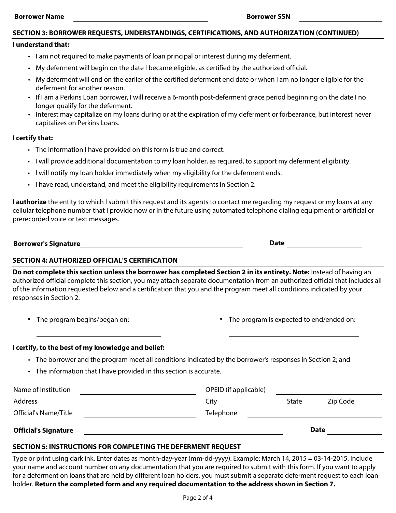#### **SECTION 3: BORROWER REQUESTS, UNDERSTANDINGS, CERTIFICATIONS, AND AUTHORIZATION (CONTINUED)**

#### **I understand that:**

- I am not required to make payments of loan principal or interest during my deferment.
- My deferment will begin on the date I became eligible, as certified by the authorized official.
- My deferment will end on the earlier of the certified deferment end date or when I am no longer eligible for the deferment for another reason.
- If I am a Perkins Loan borrower, I will receive a 6-month post-deferment grace period beginning on the date I no longer qualify for the deferment.
- Interest may capitalize on my loans during or at the expiration of my deferment or forbearance, but interest never capitalizes on Perkins Loans.

#### **I certify that:**

- The information I have provided on this form is true and correct.
- I will provide additional documentation to my loan holder, as required, to support my deferment eligibility.
- I will notify my loan holder immediately when my eligibility for the deferment ends.
- I have read, understand, and meet the eligibility requirements in Section 2.

**I authorize** the entity to which I submit this request and its agents to contact me regarding my request or my loans at any cellular telephone number that I provide now or in the future using automated telephone dialing equipment or artificial or prerecorded voice or text messages.

| <b>Borrower's Signature</b> | Date |
|-----------------------------|------|
|                             |      |

## **SECTION 4: AUTHORIZED OFFICIAL'S CERTIFICATION**

**Do not complete this section unless the borrower has completed Section 2 in its entirety. Note:** Instead of having an authorized official complete this section, you may attach separate documentation from an authorized official that includes all of the information requested below and a certification that you and the program meet all conditions indicated by your responses in Section 2.

- 
- **•** The program begins/began on: **•** The program is expected to end/ended on:

#### **I certify, to the best of my knowledge and belief:**

- The borrower and the program meet all conditions indicated by the borrower's responses in Section 2; and
- The information that I have provided in this section is accurate.

| Name of Institution         | OPEID (if applicable) |       |             |  |
|-----------------------------|-----------------------|-------|-------------|--|
| <b>Address</b>              | Citv                  | State | Zip Code    |  |
| Official's Name/Title       | Telephone             |       |             |  |
| <b>Official's Signature</b> |                       |       | <b>Date</b> |  |

#### **SECTION 5: INSTRUCTIONS FOR COMPLETING THE DEFERMENT REQUEST**

Type or print using dark ink. Enter dates as month-day-year (mm-dd-yyyy). Example: March 14, 2015 = 03-14-2015. Include your name and account number on any documentation that you are required to submit with this form. If you want to apply for a deferment on loans that are held by different loan holders, you must submit a separate deferment request to each loan holder. **Return the completed form and any required documentation to the address shown in Section 7.**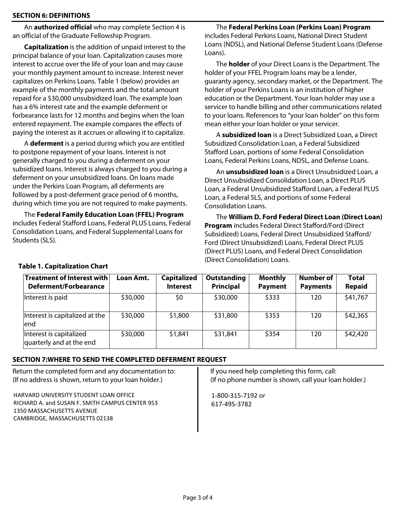## **SECTION 6: DEFINITIONS**

An **authorized official** who may complete Section 4 is an official of the Graduate Fellowship Program.

**Capitalization** is the addition of unpaid interest to the principal balance of your loan. Capitalization causes more interest to accrue over the life of your loan and may cause your monthly payment amount to increase. Interest never capitalizes on Perkins Loans. Table 1 (below) provides an example of the monthly payments and the total amount repaid for a \$30,000 unsubsidized loan. The example loan has a 6% interest rate and the example deferment or forbearance lasts for 12 months and begins when the loan entered repayment. The example compares the effects of paying the interest as it accrues or allowing it to capitalize.

A **deferment** is a period during which you are entitled to postpone repayment of your loans. Interest is not generally charged to you during a deferment on your subsidized loans. Interest is always charged to you during a deferment on your unsubsidized loans. On loans made under the Perkins Loan Program, all deferments are followed by a post-deferment grace period of 6 months, during which time you are not required to make payments.

The **Federal Family Education Loan (FFEL) Program** includes Federal Stafford Loans, Federal PLUS Loans, Federal Consolidation Loans, and Federal Supplemental Loans for Students (SLS).

The **Federal Perkins Loan (Perkins Loan) Program**  includes Federal Perkins Loans, National Direct Student Loans (NDSL), and National Defense Student Loans (Defense Loans).

The **holder** of your Direct Loans is the Department. The holder of your FFEL Program loans may be a lender, guaranty agency, secondary market, or the Department. The holder of your Perkins Loans is an institution of higher education or the Department. Your loan holder may use a servicer to handle billing and other communications related to your loans. References to "your loan holder" on this form mean either your loan holder or your servicer.

A **subsidized loan** is a Direct Subsidized Loan, a Direct Subsidized Consolidation Loan, a Federal Subsidized Stafford Loan, portions of some Federal Consolidation Loans, Federal Perkins Loans, NDSL, and Defense Loans.

An **unsubsidized loan** is a Direct Unsubsidized Loan, a Direct Unsubsidized Consolidation Loan, a Direct PLUS Loan, a Federal Unsubsidized Stafford Loan, a Federal PLUS Loan, a Federal SLS, and portions of some Federal Consolidation Loans.

The **William D. Ford Federal Direct Loan (Direct Loan) Program** includes Federal Direct Stafford/Ford (Direct Subsidized) Loans, Federal Direct Unsubsidized Stafford/ Ford (Direct Unsubsidized) Loans, Federal Direct PLUS (Direct PLUS) Loans, and Federal Direct Consolidation (Direct Consolidation) Loans.

| <b>Treatment of Interest with</b><br>Deferment/Forbearance | Loan Amt. | <b>Capitalized</b><br><b>Interest</b> | Outstanding<br><b>Principal</b> | <b>Monthly</b><br><b>Payment</b> | <b>Number of</b><br><b>Payments</b> | <b>Total</b><br><b>Repaid</b> |
|------------------------------------------------------------|-----------|---------------------------------------|---------------------------------|----------------------------------|-------------------------------------|-------------------------------|
| Interest is paid                                           | \$30,000  | \$0                                   | \$30,000                        | \$333                            | 120                                 | \$41,767                      |
| Interest is capitalized at the<br>lend                     | \$30,000  | \$1,800                               | \$31,800                        | \$353                            | 120                                 | \$42,365                      |
| Interest is capitalized<br>quarterly and at the end        | \$30,000  | \$1,841                               | \$31,841                        | \$354                            | 120                                 | \$42,420                      |

## **Table 1. Capitalization Chart**

# **SECTION 7:WHERE TO SEND THE COMPLETED DEFERMENT REQUEST**

Return the completed form and any documentation to: (If no address is shown, return to your loan holder.)

HARVARD UNIVERSITY STUDENT LOAN OFFICE RICHARD A. and SUSAN F. SMITH CAMPUS CENTER 953 1350 MASSACHUSETTS AVENUE CAMBRIDGE, MASSACHUSETTS 02138

If you need help completing this form, call: (If no phone number is shown, call your loan holder.)

1-800-315-7192 or 617-495-3782